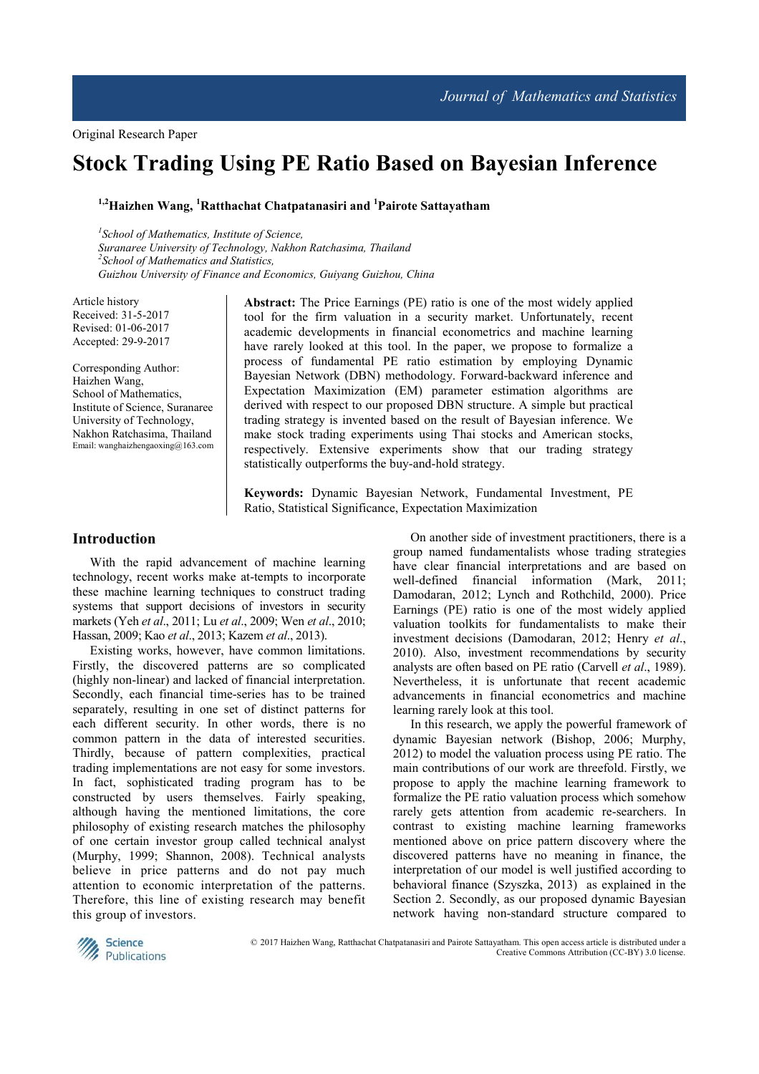# **Stock Trading Using PE Ratio Based on Bayesian Inference**

## **1,2Haizhen Wang, <sup>1</sup>Ratthachat Chatpatanasiri and <sup>1</sup>Pairote Sattayatham**

*1 School of Mathematics, Institute of Science, Suranaree University of Technology, Nakhon Ratchasima, Thailand 2 School of Mathematics and Statistics, Guizhou University of Finance and Economics, Guiyang Guizhou, China*

Article history Received: 31-5-2017 Revised: 01-06-2017 Accepted: 29-9-2017

Corresponding Author: Haizhen Wang, School of Mathematics, Institute of Science, Suranaree University of Technology, Nakhon Ratchasima, Thailand Email: wanghaizhengaoxing@163.com

**Abstract:** The Price Earnings (PE) ratio is one of the most widely applied tool for the firm valuation in a security market. Unfortunately, recent academic developments in financial econometrics and machine learning have rarely looked at this tool. In the paper, we propose to formalize a process of fundamental PE ratio estimation by employing Dynamic Bayesian Network (DBN) methodology. Forward-backward inference and Expectation Maximization (EM) parameter estimation algorithms are derived with respect to our proposed DBN structure. A simple but practical trading strategy is invented based on the result of Bayesian inference. We make stock trading experiments using Thai stocks and American stocks, respectively. Extensive experiments show that our trading strategy statistically outperforms the buy-and-hold strategy.

**Keywords:** Dynamic Bayesian Network, Fundamental Investment, PE Ratio, Statistical Significance, Expectation Maximization

## **Introduction**

With the rapid advancement of machine learning technology, recent works make at-tempts to incorporate these machine learning techniques to construct trading systems that support decisions of investors in security markets (Yeh *et al*., 2011; Lu *et al*., 2009; Wen *et al*., 2010; Hassan, 2009; Kao *et al*., 2013; Kazem *et al*., 2013).

Existing works, however, have common limitations. Firstly, the discovered patterns are so complicated (highly non-linear) and lacked of financial interpretation. Secondly, each financial time-series has to be trained separately, resulting in one set of distinct patterns for each different security. In other words, there is no common pattern in the data of interested securities. Thirdly, because of pattern complexities, practical trading implementations are not easy for some investors. In fact, sophisticated trading program has to be constructed by users themselves. Fairly speaking, although having the mentioned limitations, the core philosophy of existing research matches the philosophy of one certain investor group called technical analyst (Murphy, 1999; Shannon, 2008). Technical analysts believe in price patterns and do not pay much attention to economic interpretation of the patterns. Therefore, this line of existing research may benefit this group of investors.

On another side of investment practitioners, there is a group named fundamentalists whose trading strategies have clear financial interpretations and are based on well-defined financial information (Mark, 2011; Damodaran, 2012; Lynch and Rothchild, 2000). Price Earnings (PE) ratio is one of the most widely applied valuation toolkits for fundamentalists to make their investment decisions (Damodaran, 2012; Henry *et al*., 2010). Also, investment recommendations by security analysts are often based on PE ratio (Carvell *et al*., 1989). Nevertheless, it is unfortunate that recent academic advancements in financial econometrics and machine learning rarely look at this tool.

In this research, we apply the powerful framework of dynamic Bayesian network (Bishop, 2006; Murphy, 2012) to model the valuation process using PE ratio. The main contributions of our work are threefold. Firstly, we propose to apply the machine learning framework to formalize the PE ratio valuation process which somehow rarely gets attention from academic re-searchers. In contrast to existing machine learning frameworks mentioned above on price pattern discovery where the discovered patterns have no meaning in finance, the interpretation of our model is well justified according to behavioral finance (Szyszka, 2013) as explained in the Section 2. Secondly, as our proposed dynamic Bayesian network having non-standard structure compared to



 © 2017 Haizhen Wang, Ratthachat Chatpatanasiri and Pairote Sattayatham. This open access article is distributed under a Creative Commons Attribution (CC-BY) 3.0 license.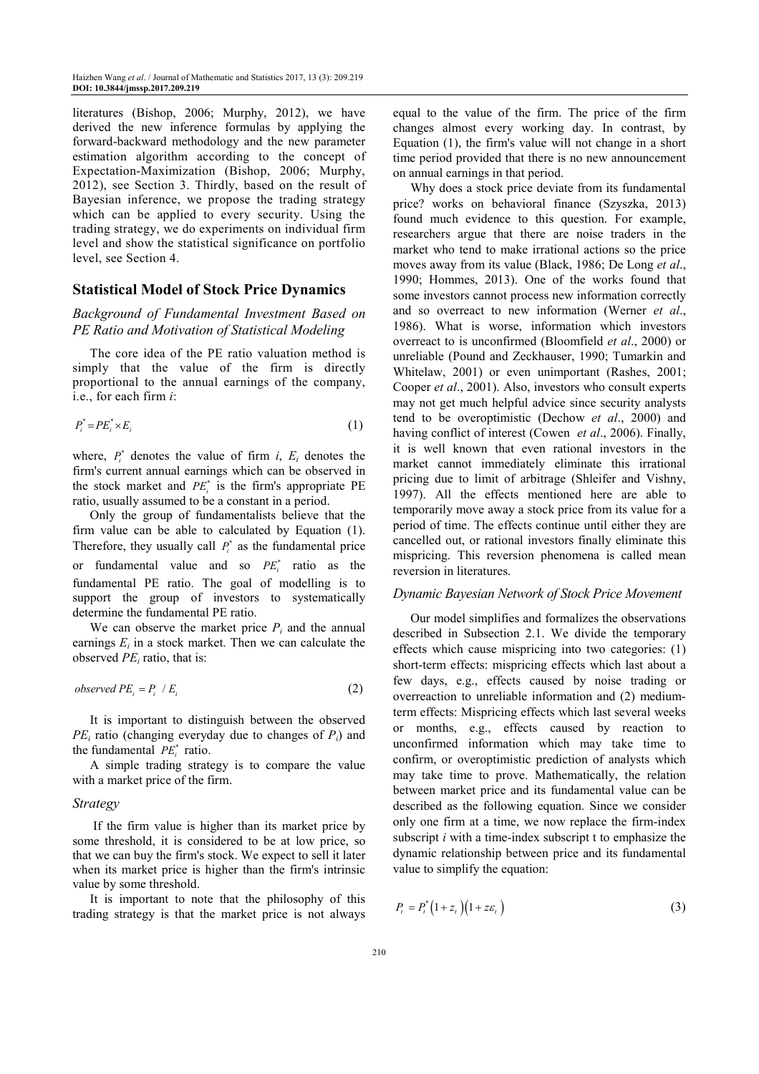literatures (Bishop, 2006; Murphy, 2012), we have derived the new inference formulas by applying the forward-backward methodology and the new parameter estimation algorithm according to the concept of Expectation-Maximization (Bishop, 2006; Murphy, 2012), see Section 3. Thirdly, based on the result of Bayesian inference, we propose the trading strategy which can be applied to every security. Using the trading strategy, we do experiments on individual firm level and show the statistical significance on portfolio level, see Section 4.

## **Statistical Model of Stock Price Dynamics**

## *Background of Fundamental Investment Based on PE Ratio and Motivation of Statistical Modeling*

The core idea of the PE ratio valuation method is simply that the value of the firm is directly proportional to the annual earnings of the company, i.e., for each firm *i*:

$$
P_i^* = PE_i^* \times E_i \tag{1}
$$

where,  $P_i^*$  denotes the value of firm *i*,  $E_i$  denotes the firm's current annual earnings which can be observed in the stock market and  $PE_i^*$  is the firm's appropriate PE ratio, usually assumed to be a constant in a period.

Only the group of fundamentalists believe that the firm value can be able to calculated by Equation (1). Therefore, they usually call  $P_i^*$  as the fundamental price or fundamental value and so  $PE_i^*$  ratio as the fundamental PE ratio. The goal of modelling is to support the group of investors to systematically determine the fundamental PE ratio.

We can observe the market price  $P_i$  and the annual earnings  $E_i$  in a stock market. Then we can calculate the observed  $PE<sub>i</sub>$  ratio, that is:

$$
observed PE_i = P_i / E_i \tag{2}
$$

It is important to distinguish between the observed  $PE<sub>i</sub>$  ratio (changing everyday due to changes of  $P<sub>i</sub>$ ) and the fundamental  $PE_i^*$  ratio.

A simple trading strategy is to compare the value with a market price of the firm.

#### *Strategy*

 If the firm value is higher than its market price by some threshold, it is considered to be at low price, so that we can buy the firm's stock. We expect to sell it later when its market price is higher than the firm's intrinsic value by some threshold.

It is important to note that the philosophy of this trading strategy is that the market price is not always equal to the value of the firm. The price of the firm changes almost every working day. In contrast, by Equation (1), the firm's value will not change in a short time period provided that there is no new announcement on annual earnings in that period.

Why does a stock price deviate from its fundamental price? works on behavioral finance (Szyszka, 2013) found much evidence to this question. For example, researchers argue that there are noise traders in the market who tend to make irrational actions so the price moves away from its value (Black, 1986; De Long *et al*., 1990; Hommes, 2013). One of the works found that some investors cannot process new information correctly and so overreact to new information (Werner *et al*., 1986). What is worse, information which investors overreact to is unconfirmed (Bloomfield *et al*., 2000) or unreliable (Pound and Zeckhauser, 1990; Tumarkin and Whitelaw, 2001) or even unimportant (Rashes, 2001; Cooper *et al*., 2001). Also, investors who consult experts may not get much helpful advice since security analysts tend to be overoptimistic (Dechow *et al*., 2000) and having conflict of interest (Cowen *et al*., 2006). Finally, it is well known that even rational investors in the market cannot immediately eliminate this irrational pricing due to limit of arbitrage (Shleifer and Vishny, 1997). All the effects mentioned here are able to temporarily move away a stock price from its value for a period of time. The effects continue until either they are cancelled out, or rational investors finally eliminate this mispricing. This reversion phenomena is called mean reversion in literatures.

## *Dynamic Bayesian Network of Stock Price Movement*

Our model simplifies and formalizes the observations described in Subsection 2.1. We divide the temporary effects which cause mispricing into two categories: (1) short-term effects: mispricing effects which last about a few days, e.g., effects caused by noise trading or overreaction to unreliable information and (2) mediumterm effects: Mispricing effects which last several weeks or months, e.g., effects caused by reaction to unconfirmed information which may take time to confirm, or overoptimistic prediction of analysts which may take time to prove. Mathematically, the relation between market price and its fundamental value can be described as the following equation. Since we consider only one firm at a time, we now replace the firm-index subscript *i* with a time-index subscript t to emphasize the dynamic relationship between price and its fundamental value to simplify the equation:

$$
P_t = P_t^* \left( 1 + z_t \right) \left( 1 + z \varepsilon_t \right) \tag{3}
$$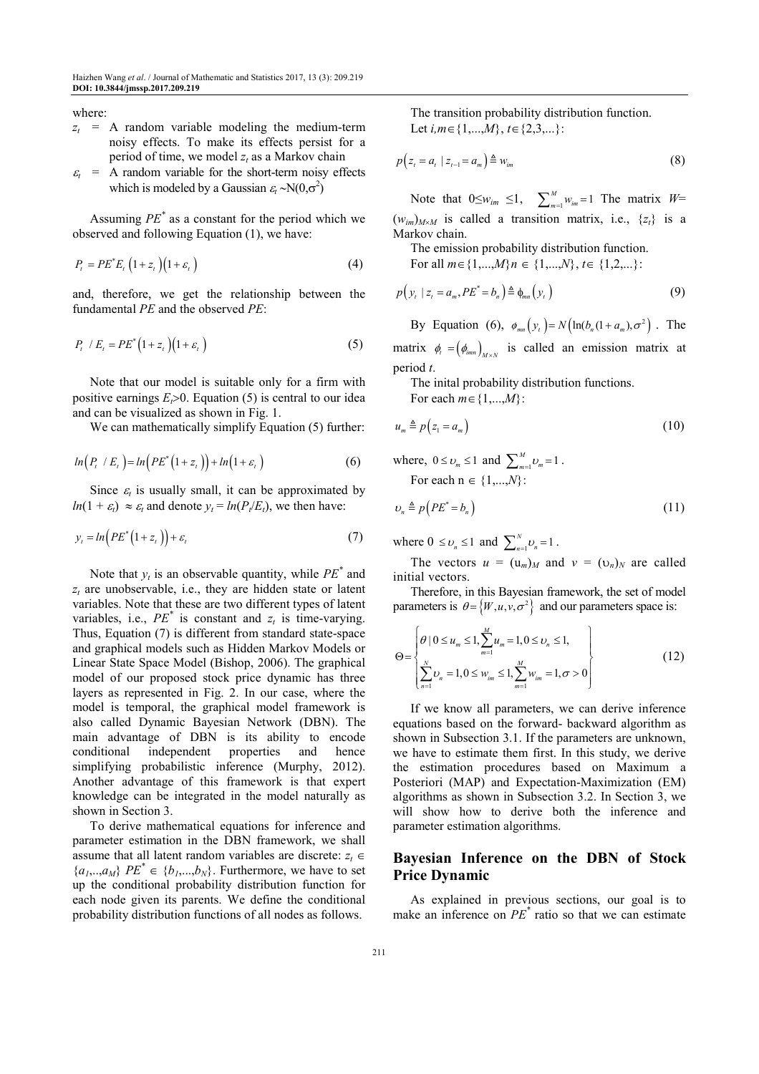where:

- $z_t$  = A random variable modeling the medium-term noisy effects. To make its effects persist for a period of time, we model  $z_t$  as a Markov chain
- $\varepsilon_t =$ A random variable for the short-term noisy effects which is modeled by a Gaussian  $\varepsilon_t \sim N(0,\sigma^2)$

Assuming *PE\** as a constant for the period which we observed and following Equation (1), we have:

$$
P_t = PE^*E_t \left(1 + z_t\right) \left(1 + \varepsilon_t\right) \tag{4}
$$

and, therefore, we get the relationship between the fundamental *PE* and the observed *PE*:

$$
P_t / E_t = PE^* (1 + z_t) (1 + \varepsilon_t)
$$
\n
$$
(5)
$$

Note that our model is suitable only for a firm with positive earnings  $E_f$ >0. Equation (5) is central to our idea and can be visualized as shown in Fig. 1.

We can mathematically simplify Equation (5) further:

$$
ln(P_t / E_t) = ln(PE^*(1 + z_t)) + ln(1 + \varepsilon_t)
$$
\n(6)

Since  $\varepsilon_t$  is usually small, it can be approximated by  $ln(1 + \varepsilon_t) \approx \varepsilon_t$  and denote  $y_t = ln(P_t/E_t)$ , we then have:

$$
y_t = \ln\left(P E^*(1 + z_t)\right) + \varepsilon_t \tag{7}
$$

Note that  $y_t$  is an observable quantity, while  $PE^*$  and *zt* are unobservable, i.e., they are hidden state or latent variables. Note that these are two different types of latent variables, i.e.,  $PE^*$  is constant and  $z_t$  is time-varying. Thus, Equation (7) is different from standard state-space and graphical models such as Hidden Markov Models or Linear State Space Model (Bishop, 2006). The graphical model of our proposed stock price dynamic has three layers as represented in Fig. 2. In our case, where the model is temporal, the graphical model framework is also called Dynamic Bayesian Network (DBN). The main advantage of DBN is its ability to encode conditional independent properties and hence simplifying probabilistic inference (Murphy, 2012). Another advantage of this framework is that expert knowledge can be integrated in the model naturally as shown in Section 3.

To derive mathematical equations for inference and parameter estimation in the DBN framework, we shall assume that all latent random variables are discrete:  $z_t \in$  ${a_1, \ldots, a_M}$   ${PE}^* \in {b_1, \ldots, b_N}$ . Furthermore, we have to set up the conditional probability distribution function for each node given its parents. We define the conditional probability distribution functions of all nodes as follows.

The transition probability distribution function. Let *i,m*∈{1,...,*M*}, *t*∈{2,3,...}:

$$
p(z_t = a_t \mid z_{t-1} = a_m) \triangleq w_{im} \tag{8}
$$

Note that  $0 \leq w_{im} \leq 1$ ,  $\sum_{m=1}^{M} w_{im} = 1$  The matrix  $W =$  $(w_{im})_{M \times M}$  is called a transition matrix, i.e.,  $\{z_i\}$  is a Markov chain.

The emission probability distribution function.

For all *m*∈{1,...,*M*}*n* ∈ {1,...,*N*}, *t*∈ {1,2,...}:

$$
p\left(y_t \mid z_t = a_m, PE^* = b_n\right) \triangleq \phi_{mn}\left(y_t\right) \tag{9}
$$

By Equation (6),  $\phi_{mn}(y_t) = N \left( \ln(b_n(1 + a_m), \sigma^2) \right)$ . The matrix  $\phi_i = (\phi_{i_{mn}})_{M \times N}$  is called an emission matrix at period *t*.

The inital probability distribution functions.

For each *m*∈{1,...,*M*}:

$$
u_m \triangleq p(z_1 = a_m) \tag{10}
$$

where, 
$$
0 \le v_m \le 1
$$
 and  $\sum_{m=1}^{M} v_m = 1$ .  
For each  $n \in \{1, ..., N\}$ :

$$
\nu_n \triangleq p(PE^* = b_n) \tag{11}
$$

where  $0 \le v_n \le 1$  and  $\sum_{n=1}^{N} v_n = 1$ .

The vectors  $u = (u_m)_{M}$  and  $v = (v_n)_{N}$  are called initial vectors.

Therefore, in this Bayesian framework, the set of model parameters is  $\theta = \{W, u, v, \sigma^2\}$  and our parameters space is:

$$
\Theta = \left\{ \begin{aligned} & \theta \mid 0 \le u_m \le 1, \sum_{m=1}^{M} u_m = 1, 0 \le v_n \le 1, \\ & \sum_{n=1}^{N} v_n = 1, 0 \le w_{im} \le 1, \sum_{m=1}^{M} w_{im} = 1, \sigma > 0 \end{aligned} \right\} \tag{12}
$$

If we know all parameters, we can derive inference equations based on the forward- backward algorithm as shown in Subsection 3.1. If the parameters are unknown, we have to estimate them first. In this study, we derive the estimation procedures based on Maximum a Posteriori (MAP) and Expectation-Maximization (EM) algorithms as shown in Subsection 3.2. In Section 3, we will show how to derive both the inference and parameter estimation algorithms.

## **Bayesian Inference on the DBN of Stock Price Dynamic**

As explained in previous sections, our goal is to make an inference on *PE\** ratio so that we can estimate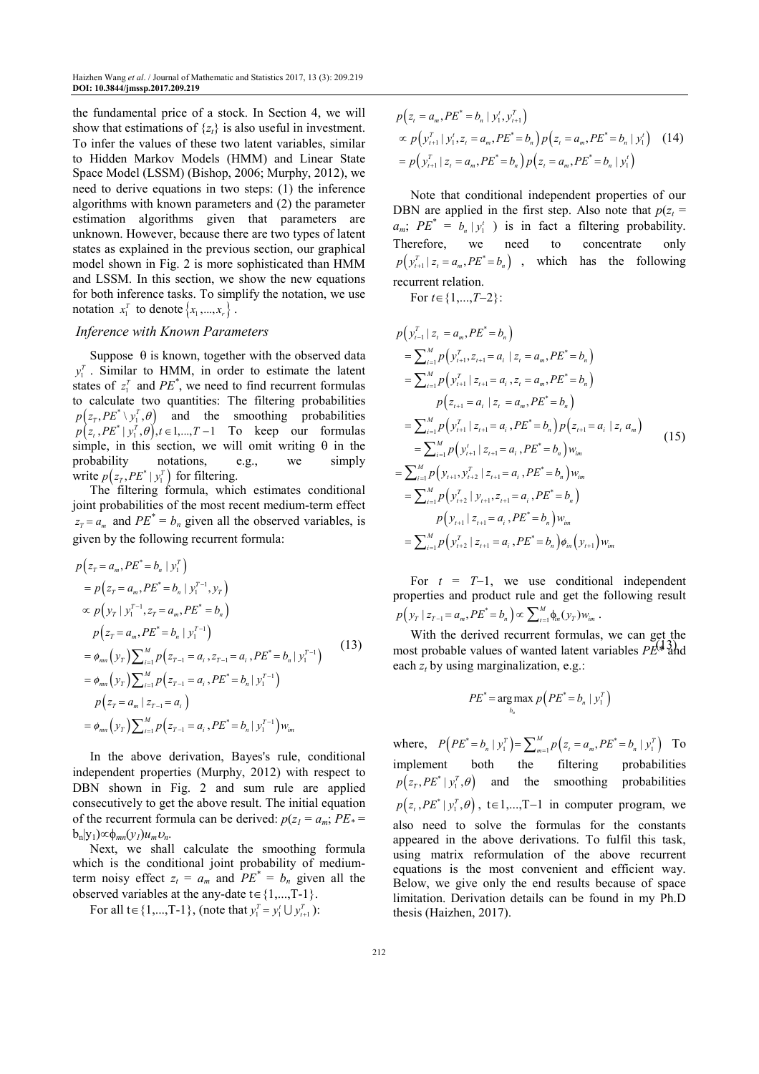the fundamental price of a stock. In Section 4, we will show that estimations of  $\{z_t\}$  is also useful in investment. To infer the values of these two latent variables, similar to Hidden Markov Models (HMM) and Linear State Space Model (LSSM) (Bishop, 2006; Murphy, 2012), we need to derive equations in two steps: (1) the inference algorithms with known parameters and (2) the parameter estimation algorithms given that parameters are unknown. However, because there are two types of latent states as explained in the previous section, our graphical model shown in Fig. 2 is more sophisticated than HMM and LSSM. In this section, we show the new equations for both inference tasks. To simplify the notation, we use notation  $x_1^T$  to denote  $\{x_1, ..., x_r\}$ .

## *Inference with Known Parameters*

Suppose  $\theta$  is known, together with the observed data  $y_1^T$ . Similar to HMM, in order to estimate the latent states of  $z_1^T$  and  $PE^*$ , we need to find recurrent formulas to calculate two quantities: The filtering probabilities  $p(z_T, PE^* \setminus y_I^T, \theta)$  and the smoothing probabilities  $p(z_t, PE^* | y_1^T, \theta), t \in 1, ..., T-1$  To keep our formulas simple, in this section, we will omit writing  $\theta$  in the probability notations, e.g., we simply write  $p(z_T, PE^* | y_1^T)$  for filtering.

The filtering formula, which estimates conditional joint probabilities of the most recent medium-term effect  $z_T = a_m$  and  $PE^* = b_n$  given all the observed variables, is given by the following recurrent formula:

$$
p(z_{T} = a_{m}, PE^{*} = b_{n} | y_{1}^{T})
$$
  
\n
$$
= p(z_{T} = a_{m}, PE^{*} = b_{n} | y_{1}^{T-1}, y_{T})
$$
  
\n
$$
\propto p(y_{T} | y_{1}^{T-1}, z_{T} = a_{m}, PE^{*} = b_{n})
$$
  
\n
$$
p(z_{T} = a_{m}, PE^{*} = b_{n} | y_{1}^{T-1})
$$
  
\n
$$
= \phi_{mn}(y_{T}) \sum_{i=1}^{M} p(z_{T-1} = a_{i}, z_{T-1} = a_{i}, PE^{*} = b_{n} | y_{1}^{T-1})
$$
  
\n
$$
= \phi_{mn}(y_{T}) \sum_{i=1}^{M} p(z_{T-1} = a_{i}, PE^{*} = b_{n} | y_{1}^{T-1})
$$
  
\n
$$
p(z_{T} = a_{m} | z_{T-1} = a_{i})
$$
  
\n
$$
= \phi_{mn}(y_{T}) \sum_{i=1}^{M} p(z_{T-1} = a_{i}, PE^{*} = b_{n} | y_{1}^{T-1}) w_{im}
$$
  
\n(13)

In the above derivation, Bayes's rule, conditional independent properties (Murphy, 2012) with respect to DBN shown in Fig. 2 and sum rule are applied consecutively to get the above result. The initial equation of the recurrent formula can be derived:  $p(z_1 = a_m; PE^*)$  $b_n|y_1)$ ∞ $φ_{mn}(y_l)u_m v_n$ .

Next, we shall calculate the smoothing formula which is the conditional joint probability of mediumterm noisy effect  $z_t = a_m$  and  $PE^* = b_n$  given all the observed variables at the any-date  $t \in \{1,...,T-1\}$ .

For all  $t \in \{1,...,T-1\}$ , (note that  $y_1^T = y_1^t \cup y_{t+1}^T$ ):

$$
p(z_{i} = a_{m}, PE^{*} = b_{n} | y'_{i}, y'_{i+1})
$$
  
\n
$$
\propto p(y_{i+1}^{T} | y'_{i}, z_{i} = a_{m}, PE^{*} = b_{n}) p(z_{i} = a_{m}, PE^{*} = b_{n} | y'_{i})
$$
 (14)  
\n
$$
= p(y_{i+1}^{T} | z_{i} = a_{m}, PE^{*} = b_{n}) p(z_{i} = a_{m}, PE^{*} = b_{n} | y'_{i})
$$

Note that conditional independent properties of our DBN are applied in the first step. Also note that  $p(z_t)$  $a_m$ ;  $PE^* = b_n | y_1^i$  ) is in fact a filtering probability. Therefore, we need to concentrate only  $p(y_{t+1}^T | z_t = a_m, PE^* = b_n)$ , which has the following recurrent relation.

For *t*∈{1,...,*T*−2}:

$$
p(y_{i-1}^T | z_i = a_m, PE^* = b_n)
$$
  
\n
$$
= \sum_{i=1}^M p(y_{i+1}^T, z_{i+1} = a_i | z_i = a_m, PE^* = b_n)
$$
  
\n
$$
= \sum_{i=1}^M p(y_{i+1}^T | z_{i+1} = a_i, z_i = a_m, PE^* = b_n)
$$
  
\n
$$
p(z_{i+1} = a_i | z_i = a_m, PE^* = b_n)
$$
  
\n
$$
= \sum_{i=1}^M p(y_{i+1}^T | z_{i+1} = a_i, PE^* = b_n) p(z_{i+1} = a_i | z_i a_m)
$$
  
\n
$$
= \sum_{i=1}^M p(y_{i+1}^T | z_{i+1} = a_i, PE^* = b_n) w_{im}
$$
  
\n
$$
= \sum_{i=1}^M p(y_{i+1}, y_{i+2}^T | z_{i+1} = a_i, PE^* = b_n) w_{im}
$$
  
\n
$$
= \sum_{i=1}^M p(y_{i+2}^T | y_{i+1}, z_{i+1} = a_i, PE^* = b_n) w_{im}
$$
  
\n
$$
= \sum_{i=1}^M p(y_{i+2}^T | z_{i+1} = a_i, PE^* = b_n) \phi_{im}(y_{i+1}) w_{im}
$$

For  $t = T-1$ , we use conditional independent properties and product rule and get the following result  $p(\mathbf{y}_T | z_{T-1} = a_m, PE^* = b_n) \propto \sum_{t=1}^M \phi_{tn}(\mathbf{y}_T) w_{im}.$ 

(13) most probable values of wanted latent variables  $PE^{(*)}$  and With the derived recurrent formulas, we can get the each  $z_t$  by using marginalization, e.g.:

$$
PE^* = \underset{b_n}{\arg\max} \ p\left( PE^* = b_n \mid y_1^T \right)
$$

where,  $P(PE^* = b_n | y_1^T) = \sum_{m=1}^M p(z_i = a_m, PE^* = b_n | y_1^T)$  To implement both the filtering probabilities  $p(z_T, PE^* | y_1^T, \theta)$  and the smoothing probabilities  $p(z_t, PE^* | y_1^T, \theta)$ , t∈1,...,T-1 in computer program, we also need to solve the formulas for the constants appeared in the above derivations. To fulfil this task, using matrix reformulation of the above recurrent equations is the most convenient and efficient way. Below, we give only the end results because of space limitation. Derivation details can be found in my Ph.D thesis (Haizhen, 2017).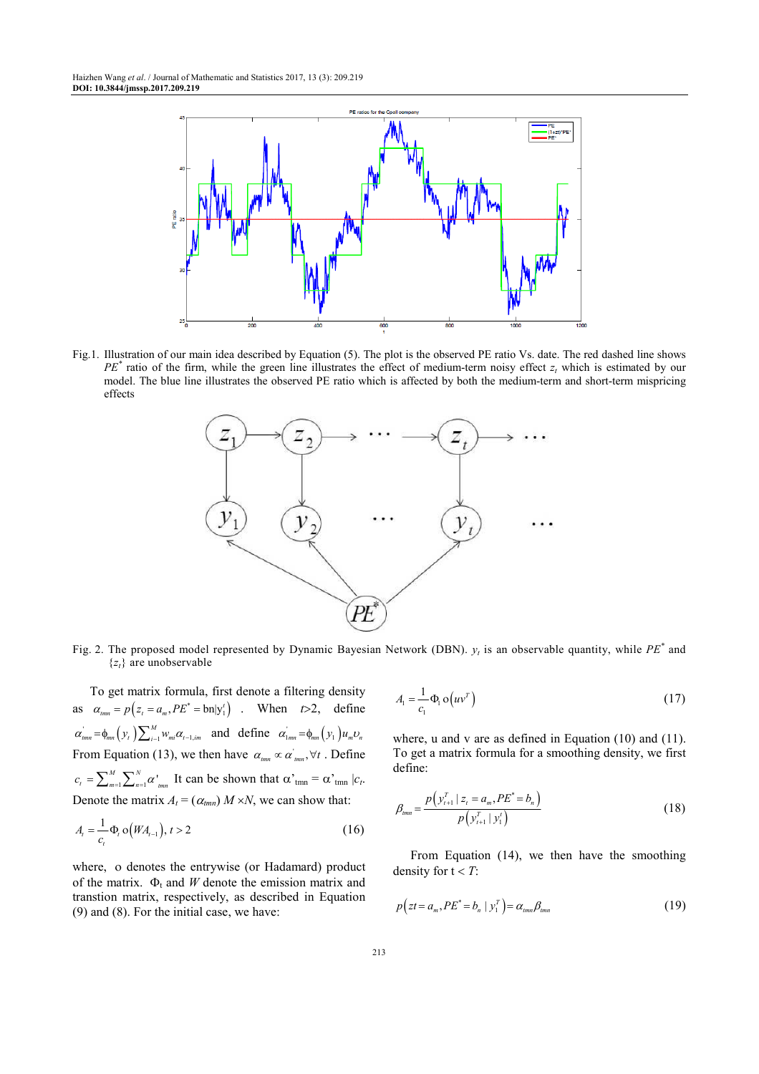

Fig.1. Illustration of our main idea described by Equation (5). The plot is the observed PE ratio Vs. date. The red dashed line shows  $PE^*$  ratio of the firm, while the green line illustrates the effect of medium-term noisy effect  $z_t$  which is estimated by our model. The blue line illustrates the observed PE ratio which is affected by both the medium-term and short-term mispricing effects



Fig. 2. The proposed model represented by Dynamic Bayesian Network (DBN).  $y_t$  is an observable quantity, while  $PE^*$  and  $\{z_t\}$  are unobservable

To get matrix formula, first denote a filtering density as  $\alpha_{\text{tmn}} = p \left( z_t = a_m, PE^* = \text{bn}|y_1^t \right)$ . When  $t > 2$ , define  $\alpha_{\scriptscriptstyle{tmn}} = \phi_{\scriptscriptstyle{mn}}(y_t) \sum_{i=1}^{M} w_{\scriptscriptstyle{mi}} \alpha_{\scriptscriptstyle{t-1},im}$  and define  $\alpha_{\scriptscriptstyle{1mn}} = \phi_{\scriptscriptstyle{mn}}(y_t) u_{\scriptscriptstyle{m}} v_{\scriptscriptstyle{n}}$ From Equation (13), we then have  $\alpha_{\text{rmm}} \propto \alpha'_{\text{rmm}}$ ,  $\forall t$ . Define  $_{m=1}^{M}\sum\nolimits_{n=1}^{N}\alpha$ <sup>1</sup><sub>1</sub>  $c_t = \sum_{m=1}^{M} \sum_{n=1}^{N} \alpha'_{tmn}$  It can be shown that  $\alpha'_{tmn} = \alpha'_{tmn} |c_t$ . Denote the matrix  $A_t = (\alpha_{tmn}) M \times N$ , we can show that:

$$
A_{t} = \frac{1}{c_{t}} \Phi_{t} o\big(W A_{t-1}\big), t > 2
$$
\n(16)

where, ο denotes the entrywise (or Hadamard) product of the matrix.  $\Phi_t$  and *W* denote the emission matrix and transtion matrix, respectively, as described in Equation (9) and (8). For the initial case, we have:

$$
A_{1} = \frac{1}{c_{1}} \Phi_{1} \mathbf{o}(uv^{T})
$$
\n(17)

where, u and v are as defined in Equation  $(10)$  and  $(11)$ . To get a matrix formula for a smoothing density, we first define:

$$
\beta_{\text{mm}} = \frac{p(y_{t+1}^T \mid z_t = a_m, PE^* = b_n)}{p(y_{t+1}^T \mid y_t)} \tag{18}
$$

From Equation (14), we then have the smoothing density for  $t < T$ :

$$
p\left(zt = a_m, PE^* = b_n \mid y_1^T\right) = \alpha_{tmn}\beta_{tmn} \tag{19}
$$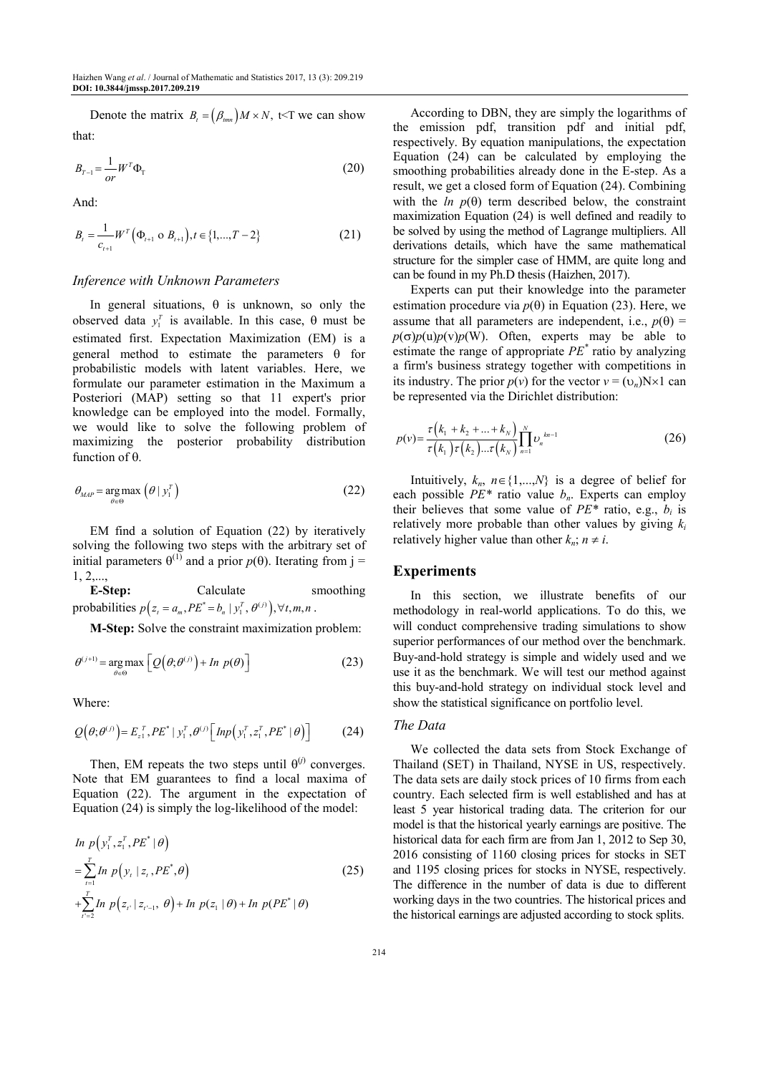Denote the matrix  $B_t = (\beta_{tmn}) M \times N$ , t<T we can show that:

$$
B_{T-1} = \frac{1}{or} W^T \Phi_T \tag{20}
$$

And:

$$
B_{t} = \frac{1}{c_{t+1}} W^{T} (\Phi_{t+1} \circ B_{t+1}), t \in \{1, ..., T-2\}
$$
 (21)

## *Inference with Unknown Parameters*

In general situations,  $\theta$  is unknown, so only the observed data  $y_1^T$  is available. In this case, θ must be estimated first. Expectation Maximization (EM) is a general method to estimate the parameters  $\theta$  for probabilistic models with latent variables. Here, we formulate our parameter estimation in the Maximum a Posteriori (MAP) setting so that 11 expert's prior knowledge can be employed into the model. Formally, we would like to solve the following problem of maximizing the posterior probability distribution function of θ.

$$
\theta_{MAP} = \underset{\theta \in \Theta}{\arg \max} \left( \theta \mid y_1^T \right) \tag{22}
$$

EM find a solution of Equation (22) by iteratively solving the following two steps with the arbitrary set of initial parameters  $θ$ <sup>(1)</sup> and a prior  $p(θ)$ . Iterating from j = 1, 2,...,

**E-Step:** Calculate smoothing probabilities  $p(z_t = a_m, PE^* = b_n | y_1^T, \theta^{(j)}), \forall t, m, n$ .

**M-Step:** Solve the constraint maximization problem:

$$
\theta^{(j+1)} = \underset{\theta \in \Theta}{\arg \max} \left[ Q(\theta; \theta^{(j)}) + \ln p(\theta) \right] \tag{23}
$$

Where:

$$
Q(\theta; \theta^{(j)}) = E_{z_1}^T P E^* \mid y_1^T, \theta^{(j)} \left[ \text{Imp}\left(y_1^T, z_1^T, P E^* \mid \theta\right) \right] \tag{24}
$$

Then, EM repeats the two steps until  $\theta^{(j)}$  converges. Note that EM guarantees to find a local maxima of Equation (22). The argument in the expectation of Equation (24) is simply the log-likelihood of the model:

$$
In \, p(y_1^T, z_1^T, PE^* | \theta)
$$
\n
$$
= \sum_{t=1}^T In \, p(y_t | z_t, PE^*, \theta)
$$
\n
$$
+ \sum_{t'=2}^T In \, p(z_{t'} | z_{t'-1}, \, \theta) + In \, p(z_1 | \theta) + In \, p(PE^* | \theta)
$$
\n(25)

According to DBN, they are simply the logarithms of the emission pdf, transition pdf and initial pdf, respectively. By equation manipulations, the expectation Equation (24) can be calculated by employing the smoothing probabilities already done in the E-step. As a result, we get a closed form of Equation (24). Combining with the  $ln p(\theta)$  term described below, the constraint maximization Equation (24) is well defined and readily to be solved by using the method of Lagrange multipliers. All derivations details, which have the same mathematical structure for the simpler case of HMM, are quite long and can be found in my Ph.D thesis (Haizhen, 2017).

Experts can put their knowledge into the parameter estimation procedure via  $p(\theta)$  in Equation (23). Here, we assume that all parameters are independent, i.e.,  $p(\theta)$  =  $p(\sigma)p(u)p(v)p(W)$ . Often, experts may be able to estimate the range of appropriate *PE\** ratio by analyzing a firm's business strategy together with competitions in its industry. The prior  $p(v)$  for the vector  $v = (v_n)N \times 1$  can be represented via the Dirichlet distribution:

$$
p(v) = \frac{\tau(k_1 + k_2 + \dots + k_N)}{\tau(k_1)\tau(k_2)\dots\tau(k_N)} \prod_{n=1}^{N} v_n^{k n - 1}
$$
 (26)

Intuitively,  $k_n$ ,  $n \in \{1,...,N\}$  is a degree of belief for each possible *PE\** ratio value *bn*. Experts can employ their believes that some value of  $PE^*$  ratio, e.g.,  $b_i$  is relatively more probable than other values by giving *k<sup>i</sup>* relatively higher value than other  $k_n$ ;  $n \neq i$ .

#### **Experiments**

In this section, we illustrate benefits of our methodology in real-world applications. To do this, we will conduct comprehensive trading simulations to show superior performances of our method over the benchmark. Buy-and-hold strategy is simple and widely used and we use it as the benchmark. We will test our method against this buy-and-hold strategy on individual stock level and show the statistical significance on portfolio level.

#### *The Data*

We collected the data sets from Stock Exchange of Thailand (SET) in Thailand, NYSE in US, respectively. The data sets are daily stock prices of 10 firms from each country. Each selected firm is well established and has at least 5 year historical trading data. The criterion for our model is that the historical yearly earnings are positive. The historical data for each firm are from Jan 1, 2012 to Sep 30, 2016 consisting of 1160 closing prices for stocks in SET and 1195 closing prices for stocks in NYSE, respectively. The difference in the number of data is due to different working days in the two countries. The historical prices and the historical earnings are adjusted according to stock splits.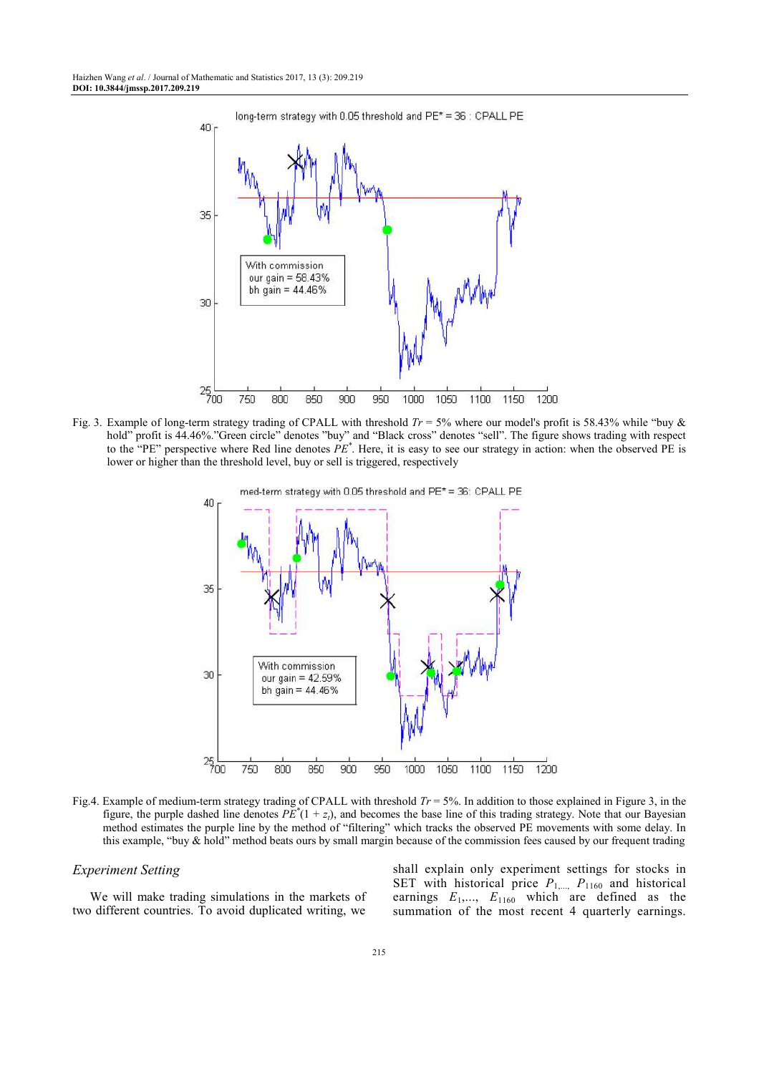

Fig. 3. Example of long-term strategy trading of CPALL with threshold *Tr* = 5% where our model's profit is 58.43% while "buy & hold" profit is 44.46%."Green circle" denotes "buy" and "Black cross" denotes "sell". The figure shows trading with respect to the "PE" perspective where Red line denotes *PE\** . Here, it is easy to see our strategy in action: when the observed PE is lower or higher than the threshold level, buy or sell is triggered, respectively



Fig.4. Example of medium-term strategy trading of CPALL with threshold *Tr* = 5%. In addition to those explained in Figure 3, in the figure, the purple dashed line denotes  $PE^*(1 + z_t)$ , and becomes the base line of this trading strategy. Note that our Bayesian method estimates the purple line by the method of "filtering" which tracks the observed PE movements with some delay. In this example, "buy & hold" method beats ours by small margin because of the commission fees caused by our frequent trading

## *Experiment Setting*

We will make trading simulations in the markets of two different countries. To avoid duplicated writing, we shall explain only experiment settings for stocks in SET with historical price  $P_{1,...,}$   $P_{1160}$  and historical earnings  $E_1$ ,...,  $E_{1160}$  which are defined as the summation of the most recent 4 quarterly earnings.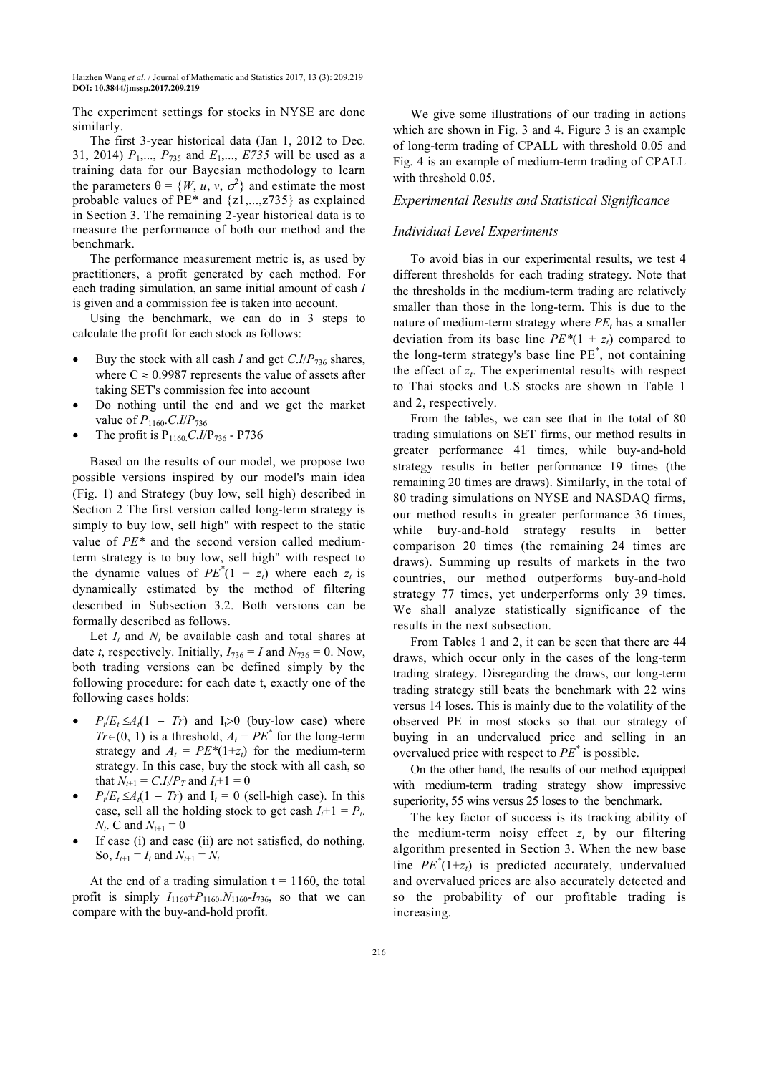The experiment settings for stocks in NYSE are done similarly.

The first 3-year historical data (Jan 1, 2012 to Dec. 31, 2014)  $P_1, \ldots, P_{735}$  and  $E_1, \ldots, E735$  will be used as a training data for our Bayesian methodology to learn the parameters  $\theta = \{W, u, v, \sigma^2\}$  and estimate the most probable values of PE\* and {z1,...,z735} as explained in Section 3. The remaining 2-year historical data is to measure the performance of both our method and the benchmark.

The performance measurement metric is, as used by practitioners, a profit generated by each method. For each trading simulation, an same initial amount of cash *I* is given and a commission fee is taken into account.

Using the benchmark, we can do in 3 steps to calculate the profit for each stock as follows:

- Buy the stock with all cash *I* and get *C*.*I*/*P*736 shares, where  $C \approx 0.9987$  represents the value of assets after taking SET's commission fee into account
- Do nothing until the end and we get the market value of *P*1160.*C*.*I*/*P*<sup>736</sup>
- The profit is  $P_{1160} C.I/P_{736}$  P736

Based on the results of our model, we propose two possible versions inspired by our model's main idea (Fig. 1) and Strategy (buy low, sell high) described in Section 2 The first version called long-term strategy is simply to buy low, sell high" with respect to the static value of *PE\** and the second version called mediumterm strategy is to buy low, sell high" with respect to the dynamic values of  $PE^*(1 + z_t)$  where each  $z_t$  is dynamically estimated by the method of filtering described in Subsection 3.2. Both versions can be formally described as follows.

Let  $I_t$  and  $N_t$  be available cash and total shares at date *t*, respectively. Initially,  $I_{736} = I$  and  $N_{736} = 0$ . Now, both trading versions can be defined simply by the following procedure: for each date t, exactly one of the following cases holds:

- $P_t/E_t \leq A_t(1 Tr)$  and  $I_t > 0$  (buy-low case) where *Tr*∈(0, 1) is a threshold,  $A_t = PE^*$  for the long-term strategy and  $A_t = PE^*(1+z_t)$  for the medium-term strategy. In this case, buy the stock with all cash, so that  $N_{t+1} = C.I_t/P_T$  and  $I_t + 1 = 0$
- $P_t/E_t \leq A_t(1 Tr)$  and  $I_t = 0$  (sell-high case). In this case, sell all the holding stock to get cash  $I_t + 1 = P_t$ .  $N_t$ . C and  $N_{t+1} = 0$
- If case (i) and case (ii) are not satisfied, do nothing. So,  $I_{t+1} = I_t$  and  $N_{t+1} = N_t$

At the end of a trading simulation  $t = 1160$ , the total profit is simply  $I_{1160} + P_{1160} N_{1160} - I_{736}$ , so that we can compare with the buy-and-hold profit.

We give some illustrations of our trading in actions which are shown in Fig. 3 and 4. Figure 3 is an example of long-term trading of CPALL with threshold 0.05 and Fig. 4 is an example of medium-term trading of CPALL with threshold 0.05.

## *Experimental Results and Statistical Significance*

#### *Individual Level Experiments*

To avoid bias in our experimental results, we test 4 different thresholds for each trading strategy. Note that the thresholds in the medium-term trading are relatively smaller than those in the long-term. This is due to the nature of medium-term strategy where *PE<sup>t</sup>* has a smaller deviation from its base line  $PE*(1 + z_t)$  compared to the long-term strategy's base line PE\* , not containing the effect of  $z_t$ . The experimental results with respect to Thai stocks and US stocks are shown in Table 1 and 2, respectively.

From the tables, we can see that in the total of 80 trading simulations on SET firms, our method results in greater performance 41 times, while buy-and-hold strategy results in better performance 19 times (the remaining 20 times are draws). Similarly, in the total of 80 trading simulations on NYSE and NASDAQ firms, our method results in greater performance 36 times, while buy-and-hold strategy results in better comparison 20 times (the remaining 24 times are draws). Summing up results of markets in the two countries, our method outperforms buy-and-hold strategy 77 times, yet underperforms only 39 times. We shall analyze statistically significance of the results in the next subsection.

From Tables 1 and 2, it can be seen that there are 44 draws, which occur only in the cases of the long-term trading strategy. Disregarding the draws, our long-term trading strategy still beats the benchmark with 22 wins versus 14 loses. This is mainly due to the volatility of the observed PE in most stocks so that our strategy of buying in an undervalued price and selling in an overvalued price with respect to *PE\** is possible.

On the other hand, the results of our method equipped with medium-term trading strategy show impressive superiority, 55 wins versus 25 loses to the benchmark.

The key factor of success is its tracking ability of the medium-term noisy effect  $z_t$  by our filtering algorithm presented in Section 3. When the new base line  $PE^*(1+z_t)$  is predicted accurately, undervalued and overvalued prices are also accurately detected and so the probability of our profitable trading is increasing.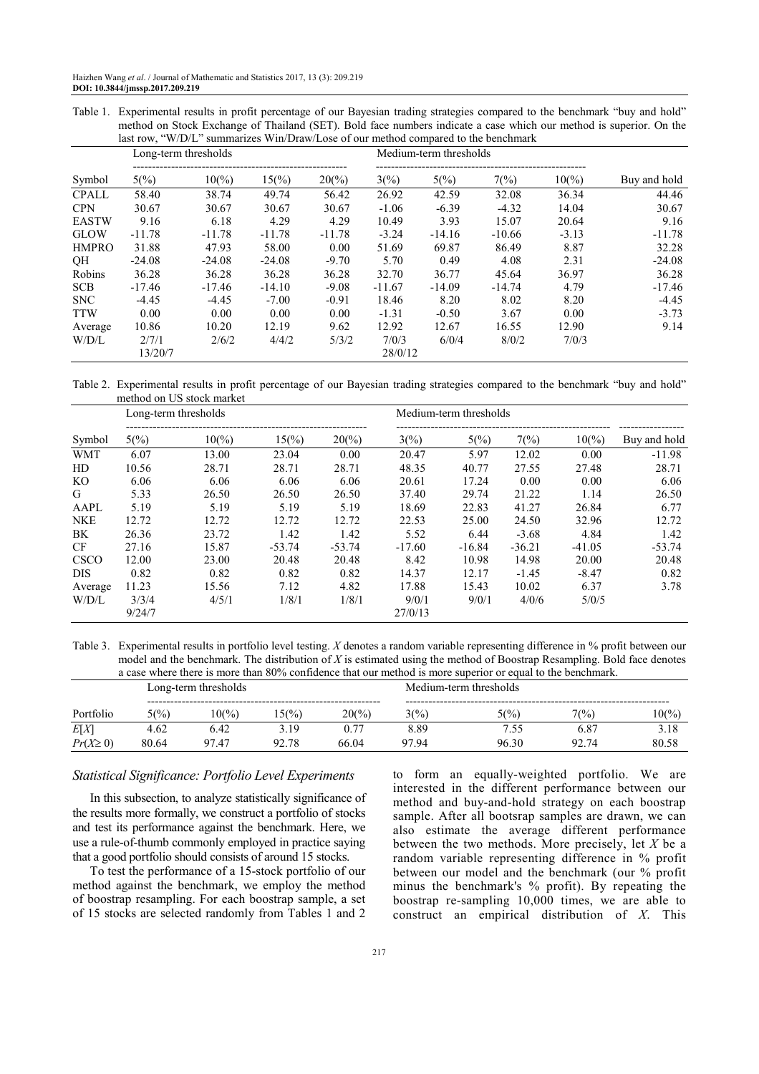Table 1. Experimental results in profit percentage of our Bayesian trading strategies compared to the benchmark "buy and hold" method on Stock Exchange of Thailand (SET). Bold face numbers indicate a case which our method is superior. On the last row, "W/D/L" summarizes Win/Draw/Lose of our method compared to the benchmark

|              | Long-term thresholds |                 |                 |          | Medium-term thresholds |                |          |                 |              |  |
|--------------|----------------------|-----------------|-----------------|----------|------------------------|----------------|----------|-----------------|--------------|--|
| Symbol       | $5\frac{6}{6}$       | $10\frac{6}{2}$ | $15\frac{6}{6}$ | $20\%$   | 3(%)                   | $5\frac{6}{6}$ | 7(%)     | $10\frac{6}{9}$ | Buy and hold |  |
| <b>CPALL</b> | 58.40                | 38.74           | 49.74           | 56.42    | 26.92                  | 42.59          | 32.08    | 36.34           | 44.46        |  |
| <b>CPN</b>   | 30.67                | 30.67           | 30.67           | 30.67    | $-1.06$                | $-6.39$        | $-4.32$  | 14.04           | 30.67        |  |
| <b>EASTW</b> | 9.16                 | 6.18            | 4.29            | 4.29     | 10.49                  | 3.93           | 15.07    | 20.64           | 9.16         |  |
| <b>GLOW</b>  | $-11.78$             | $-11.78$        | $-11.78$        | $-11.78$ | $-3.24$                | $-14.16$       | $-10.66$ | $-3.13$         | $-11.78$     |  |
| <b>HMPRO</b> | 31.88                | 47.93           | 58.00           | 0.00     | 51.69                  | 69.87          | 86.49    | 8.87            | 32.28        |  |
| QH           | $-24.08$             | $-24.08$        | $-24.08$        | $-9.70$  | 5.70                   | 0.49           | 4.08     | 2.31            | $-24.08$     |  |
| Robins       | 36.28                | 36.28           | 36.28           | 36.28    | 32.70                  | 36.77          | 45.64    | 36.97           | 36.28        |  |
| <b>SCB</b>   | $-17.46$             | $-17.46$        | $-14.10$        | $-9.08$  | $-11.67$               | $-14.09$       | $-14.74$ | 4.79            | $-17.46$     |  |
| <b>SNC</b>   | $-4.45$              | $-4.45$         | $-7.00$         | $-0.91$  | 18.46                  | 8.20           | 8.02     | 8.20            | $-4.45$      |  |
| <b>TTW</b>   | 0.00                 | 0.00            | 0.00            | 0.00     | $-1.31$                | $-0.50$        | 3.67     | 0.00            | $-3.73$      |  |
| Average      | 10.86                | 10.20           | 12.19           | 9.62     | 12.92                  | 12.67          | 16.55    | 12.90           | 9.14         |  |
| W/D/L        | 2/7/1                | 2/6/2           | 4/4/2           | 5/3/2    | 7/0/3                  | 6/0/4          | 8/0/2    | 7/0/3           |              |  |
|              | 13/20/7              |                 |                 | 28/0/12  |                        |                |          |                 |              |  |

Table 2. Experimental results in profit percentage of our Bayesian trading strategies compared to the benchmark "buy and hold" method on US stock market

|             | Long-term thresholds |                 | Medium-term thresholds |                   |                |                |          |                 |              |
|-------------|----------------------|-----------------|------------------------|-------------------|----------------|----------------|----------|-----------------|--------------|
| Symbol      | $5\frac{6}{6}$       | $10\frac{6}{2}$ | $15\frac{6}{6}$        | $20\frac{\%}{20}$ | $3\frac{6}{6}$ | $5\frac{6}{6}$ | 7(%)     | $10\frac{6}{6}$ | Buy and hold |
| <b>WMT</b>  | 6.07                 | 13.00           | 23.04                  | 0.00              | 20.47          | 5.97           | 12.02    | 0.00            | $-11.98$     |
| HD          | 10.56                | 28.71           | 28.71                  | 28.71             | 48.35          | 40.77          | 27.55    | 27.48           | 28.71        |
| KO          | 6.06                 | 6.06            | 6.06                   | 6.06              | 20.61          | 17.24          | 0.00     | 0.00            | 6.06         |
| G           | 5.33                 | 26.50           | 26.50                  | 26.50             | 37.40          | 29.74          | 21.22    | 1.14            | 26.50        |
| AAPL        | 5.19                 | 5.19            | 5.19                   | 5.19              | 18.69          | 22.83          | 41.27    | 26.84           | 6.77         |
| <b>NKE</b>  | 12.72                | 12.72           | 12.72                  | 12.72             | 22.53          | 25.00          | 24.50    | 32.96           | 12.72        |
| BK          | 26.36                | 23.72           | 1.42                   | 1.42              | 5.52           | 6.44           | $-3.68$  | 4.84            | 1.42         |
| <b>CF</b>   | 27.16                | 15.87           | $-53.74$               | $-53.74$          | $-17.60$       | $-16.84$       | $-36.21$ | $-41.05$        | $-53.74$     |
| <b>CSCO</b> | 12.00                | 23.00           | 20.48                  | 20.48             | 8.42           | 10.98          | 14.98    | 20.00           | 20.48        |
| <b>DIS</b>  | 0.82                 | 0.82            | 0.82                   | 0.82              | 14.37          | 12.17          | $-1.45$  | $-8.47$         | 0.82         |
| Average     | 11.23                | 15.56           | 7.12                   | 4.82              | 17.88          | 15.43          | 10.02    | 6.37            | 3.78         |
| W/D/L       | 3/3/4                | 4/5/1           | 1/8/1                  | 1/8/1             | 9/0/1          | 9/0/1          | 4/0/6    | 5/0/5           |              |
|             | 9/24/7               |                 |                        |                   | 27/0/13        |                |          |                 |              |

Table 3. Experimental results in portfolio level testing. *X* denotes a random variable representing difference in % profit between our model and the benchmark. The distribution of *X* is estimated using the method of Boostrap Resampling. Bold face denotes a case where there is more than 80% confidence that our method is more superior or equal to the benchmark.

|                | Long-term thresholds |        |                 |                   | Medium-term thresholds |       |       |        |  |
|----------------|----------------------|--------|-----------------|-------------------|------------------------|-------|-------|--------|--|
| Portfolio      | $5\binom{0}{0}$      | $10\%$ | $15\frac{6}{6}$ | $20\frac{\%}{20}$ | 3(%)                   | 5(%)  | 7(%)  | $10\%$ |  |
| E[X]           | 4.62                 | 6.42   | 3.19            |                   | 8.89                   | 7.55  | 6.87  | 3.18   |  |
| $Pr(X \geq 0)$ | 80.64                | 97.47  | 92.78           | 66.04             | 9794                   | 96.30 | 92.74 | 80.58  |  |

#### *Statistical Significance: Portfolio Level Experiments*

In this subsection, to analyze statistically significance of the results more formally, we construct a portfolio of stocks and test its performance against the benchmark. Here, we use a rule-of-thumb commonly employed in practice saying that a good portfolio should consists of around 15 stocks.

To test the performance of a 15-stock portfolio of our method against the benchmark, we employ the method of boostrap resampling. For each boostrap sample, a set of 15 stocks are selected randomly from Tables 1 and 2 to form an equally-weighted portfolio. We are interested in the different performance between our method and buy-and-hold strategy on each boostrap sample. After all bootsrap samples are drawn, we can also estimate the average different performance between the two methods. More precisely, let *X* be a random variable representing difference in % profit between our model and the benchmark (our % profit minus the benchmark's % profit). By repeating the boostrap re-sampling 10,000 times, we are able to construct an empirical distribution of *X*. This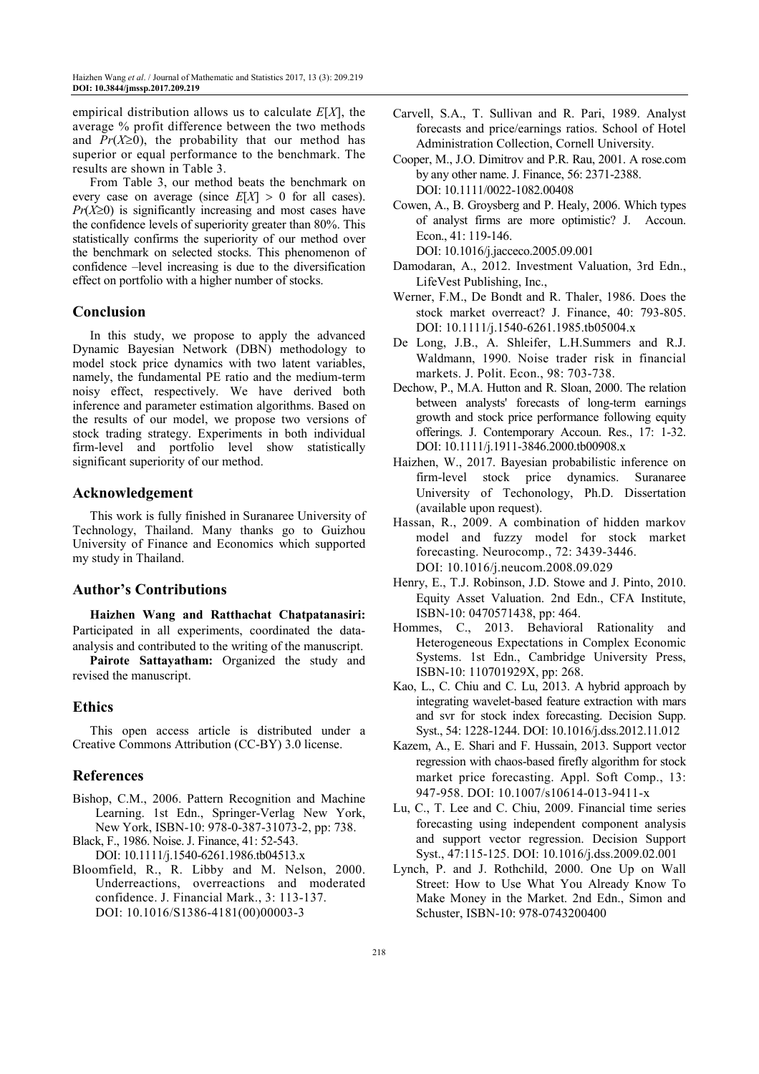empirical distribution allows us to calculate *E*[*X*], the average % profit difference between the two methods and  $Pr(X \ge 0)$ , the probability that our method has superior or equal performance to the benchmark. The results are shown in Table 3.

From Table 3, our method beats the benchmark on every case on average (since  $E[X] > 0$  for all cases). *Pr*(*X*≥0) is significantly increasing and most cases have the confidence levels of superiority greater than 80%. This statistically confirms the superiority of our method over the benchmark on selected stocks. This phenomenon of confidence –level increasing is due to the diversification effect on portfolio with a higher number of stocks.

## **Conclusion**

In this study, we propose to apply the advanced Dynamic Bayesian Network (DBN) methodology to model stock price dynamics with two latent variables, namely, the fundamental PE ratio and the medium-term noisy effect, respectively. We have derived both inference and parameter estimation algorithms. Based on the results of our model, we propose two versions of stock trading strategy. Experiments in both individual firm-level and portfolio level show statistically significant superiority of our method.

## **Acknowledgement**

This work is fully finished in Suranaree University of Technology, Thailand. Many thanks go to Guizhou University of Finance and Economics which supported my study in Thailand.

## **Author's Contributions**

**Haizhen Wang and Ratthachat Chatpatanasiri:** Participated in all experiments, coordinated the dataanalysis and contributed to the writing of the manuscript.

**Pairote Sattayatham:** Organized the study and revised the manuscript.

## **Ethics**

This open access article is distributed under a Creative Commons Attribution (CC-BY) 3.0 license.

## **References**

- Bishop, C.M., 2006. Pattern Recognition and Machine Learning. 1st Edn., Springer-Verlag New York, New York, ISBN-10: 978-0-387-31073-2, pp: 738.
- Black, F., 1986. Noise. J. Finance, 41: 52-543.
- DOI: 10.1111/j.1540-6261.1986.tb04513.x
- Bloomfield, R., R. Libby and M. Nelson, 2000. Underreactions, overreactions and moderated confidence. J. Financial Mark., 3: 113-137. DOI: 10.1016/S1386-4181(00)00003-3
- Carvell, S.A., T. Sullivan and R. Pari, 1989. Analyst forecasts and price/earnings ratios. School of Hotel Administration Collection, Cornell University.
- Cooper, M., J.O. Dimitrov and P.R. Rau, 2001. A rose.com by any other name. J. Finance, 56: 2371-2388. DOI: 10.1111/0022-1082.00408
- Cowen, A., B. Groysberg and P. Healy, 2006. Which types of analyst firms are more optimistic? J. Accoun. Econ., 41: 119-146.

DOI: 10.1016/j.jacceco.2005.09.001

- Damodaran, A., 2012. Investment Valuation, 3rd Edn., LifeVest Publishing, Inc.,
- Werner, F.M., De Bondt and R. Thaler, 1986. Does the stock market overreact? J. Finance, 40: 793-805. DOI: 10.1111/j.1540-6261.1985.tb05004.x
- De Long, J.B., A. Shleifer, L.H.Summers and R.J. Waldmann, 1990. Noise trader risk in financial markets. J. Polit. Econ., 98: 703-738.
- Dechow, P., M.A. Hutton and R. Sloan, 2000. The relation between analysts' forecasts of long-term earnings growth and stock price performance following equity offerings. J. Contemporary Accoun. Res., 17: 1-32. DOI: 10.1111/j.1911-3846.2000.tb00908.x
- Haizhen, W., 2017. Bayesian probabilistic inference on firm-level stock price dynamics. Suranaree University of Techonology, Ph.D. Dissertation (available upon request).
- Hassan, R., 2009. A combination of hidden markov model and fuzzy model for stock market forecasting. Neurocomp., 72: 3439-3446. DOI: 10.1016/j.neucom.2008.09.029
- Henry, E., T.J. Robinson, J.D. Stowe and J. Pinto, 2010. Equity Asset Valuation. 2nd Edn., CFA Institute, ISBN-10: 0470571438, pp: 464.
- Hommes, C., 2013. Behavioral Rationality and Heterogeneous Expectations in Complex Economic Systems. 1st Edn., Cambridge University Press, ISBN-10: 110701929X, pp: 268.
- Kao, L., C. Chiu and C. Lu, 2013. A hybrid approach by integrating wavelet-based feature extraction with mars and svr for stock index forecasting. Decision Supp. Syst., 54: 1228-1244. DOI: 10.1016/j.dss.2012.11.012
- Kazem, A., E. Shari and F. Hussain, 2013. Support vector regression with chaos-based firefly algorithm for stock market price forecasting. Appl. Soft Comp., 13: 947-958. DOI: 10.1007/s10614-013-9411-x
- Lu, C., T. Lee and C. Chiu, 2009. Financial time series forecasting using independent component analysis and support vector regression. Decision Support Syst., 47:115-125. DOI: 10.1016/j.dss.2009.02.001
- Lynch, P. and J. Rothchild, 2000. One Up on Wall Street: How to Use What You Already Know To Make Money in the Market. 2nd Edn., Simon and Schuster, ISBN-10: 978-0743200400